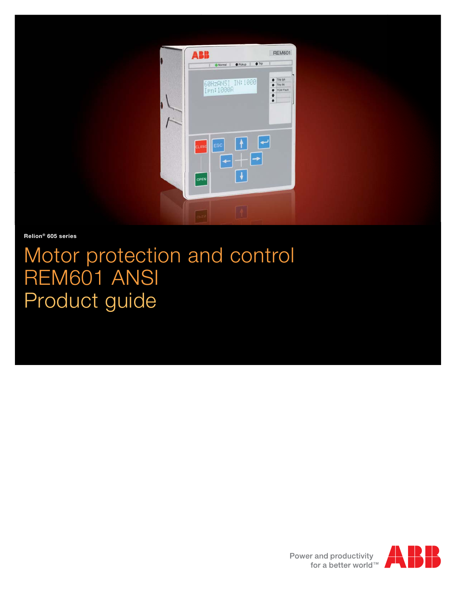

**Relion® 605 series**

# Motor protection and control REM601 ANSI Product guide



Power and productivity for a better world™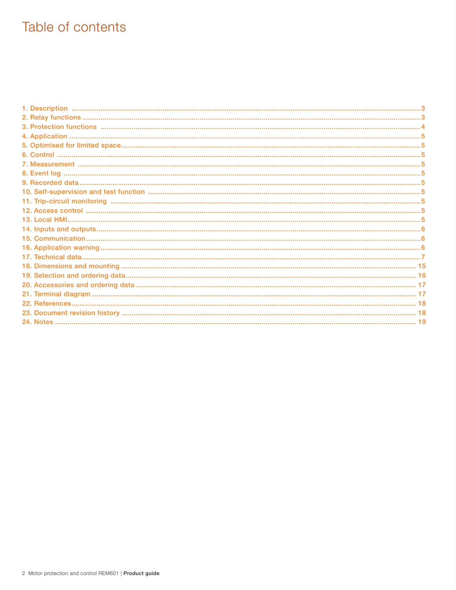# Table of contents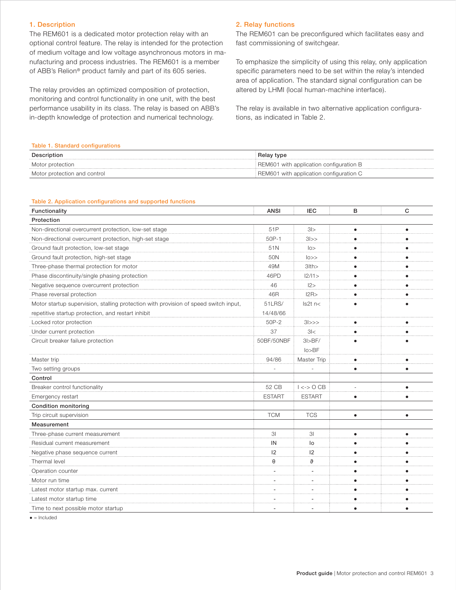# <span id="page-2-0"></span>1. Description

The REM601 is a dedicated motor protection relay with an optional control feature. The relay is intended for the protection of medium voltage and low voltage asynchronous motors in manufacturing and process industries. The REM601 is a member of ABB's Relion® product family and part of its 605 series.

The relay provides an optimized composition of protection, monitoring and control functionality in one unit, with the best performance usability in its class. The relay is based on ABB's in-depth knowledge of protection and numerical technology.

#### 2. Relay functions

The REM601 can be preconfigured which facilitates easy and fast commissioning of switchgear.

To emphasize the simplicity of using this relay, only application specific parameters need to be set within the relay's intended area of application. The standard signal configuration can be altered by LHMI (local human-machine interface).

The relay is available in two alternative application configurations, as indicated in Table 2.

#### Table 1. Standard configurations

| Description                  | Relay type                              |
|------------------------------|-----------------------------------------|
| Motor protection             | REM601 with application configuration B |
| Motor protection and control | REM601 with application configuration C |

#### Table 2. Application configurations and supported functions

| Functionality                                                                        | <b>ANSI</b>    | <b>IEC</b>       | B         | C         |
|--------------------------------------------------------------------------------------|----------------|------------------|-----------|-----------|
| Protection                                                                           |                |                  |           |           |
| Non-directional overcurrent protection, low-set stage                                | 51P            | 31               | $\bullet$ | $\bullet$ |
| Non-directional overcurrent protection, high-set stage                               | 50P-1          | 31>>             |           |           |
| Ground fault protection, low-set stage                                               | 51N            | 0>               |           |           |
| Ground fault protection, high-set stage                                              | 50N            | 0>               |           |           |
| Three-phase thermal protection for motor                                             | 49M            | 3lth>            |           |           |
| Phase discontinuity/single phasing protection                                        | 46PD           | 12/11>           |           |           |
| Negative sequence overcurrent protection                                             | 46             | 12>              |           |           |
| Phase reversal protection                                                            | 46R            | 12R              |           |           |
| Motor startup supervision, stalling protection with provision of speed switch input, | 51LRS/         | $ls2t$ n<        |           |           |
| repetitive startup protection, and restart inhibit                                   | 14/48/66       |                  |           |           |
| Locked rotor protection                                                              | 50P-2          | 31>>             |           |           |
| Under current protection                                                             | 37             | 3 <              |           |           |
| Circuit breaker failure protection                                                   | 50BF/50NBF     | $3$ I>BF/        |           |           |
|                                                                                      |                | lo > BF          |           |           |
| Master trip                                                                          | 94/86          | Master Trip      | ٠         |           |
| Two setting groups                                                                   |                |                  | $\bullet$ | $\bullet$ |
| Control                                                                              |                |                  |           |           |
| Breaker control functionality                                                        | 52 CB          | $1 \le -$ > O CB |           | $\bullet$ |
| Emergency restart                                                                    | <b>ESTART</b>  | <b>ESTART</b>    | $\bullet$ | $\bullet$ |
| <b>Condition monitoring</b>                                                          |                |                  |           |           |
| Trip circuit supervision                                                             | <b>TCM</b>     | <b>TCS</b>       | $\bullet$ | $\bullet$ |
| Measurement                                                                          |                |                  |           |           |
| Three-phase current measurement                                                      | 3 <sub>l</sub> | 3 <sup>1</sup>   | $\bullet$ |           |
| Residual current measurement                                                         | IN             | lo               |           |           |
| Negative phase sequence current                                                      | 12             | 12               |           |           |
| Thermal level                                                                        | $\theta$       | $\vartheta$      |           |           |
| Operation counter                                                                    |                |                  |           |           |
| Motor run time                                                                       |                |                  |           |           |
| Latest motor startup max. current                                                    |                |                  |           |           |
| Latest motor startup time                                                            |                |                  |           |           |
| Time to next possible motor startup                                                  |                |                  | $\bullet$ | $\bullet$ |

 $\bullet$  = Included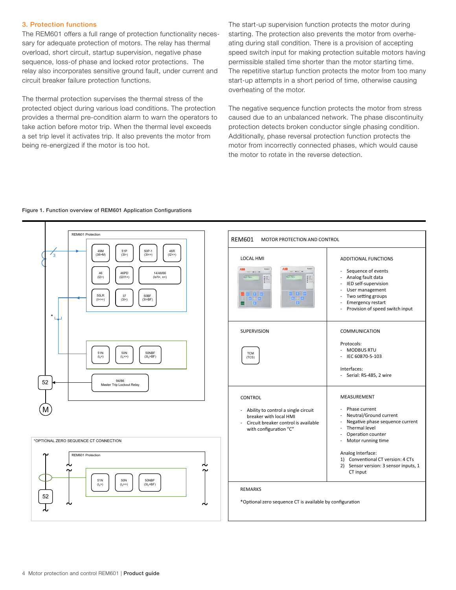# <span id="page-3-0"></span>3. Protection functions

The REM601 offers a full range of protection functionality necessary for adequate protection of motors. The relay has thermal overload, short circuit, startup supervision, negative phase sequence, loss-of phase and locked rotor protections. The relay also incorporates sensitive ground fault, under current and circuit breaker failure protection functions.

The thermal protection supervises the thermal stress of the protected object during various load conditions. The protection provides a thermal pre-condition alarm to warn the operators to take action before motor trip. When the thermal level exceeds a set trip level it activates trip. It also prevents the motor from being re-energized if the motor is too hot.

The start-up supervision function protects the motor during starting. The protection also prevents the motor from overheating during stall condition. There is a provision of accepting speed switch input for making protection suitable motors having permissible stalled time shorter than the motor starting time. The repetitive startup function protects the motor from too many start-up attempts in a short period of time, otherwise causing overheating of the motor.

The negative sequence function protects the motor from stress caused due to an unbalanced network. The phase discontinuity protection detects broken conductor single phasing condition. Additionally, phase reversal protection function protects the motor from incorrectly connected phases, which would cause the motor to rotate in the reverse detection.

#### Figure 1. Function overview of REM601 Application Configurations

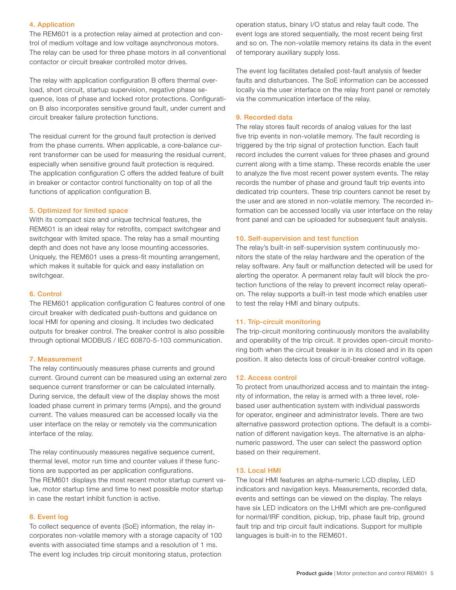# <span id="page-4-0"></span>4. Application

The REM601 is a protection relay aimed at protection and control of medium voltage and low voltage asynchronous motors. The relay can be used for three phase motors in all conventional contactor or circuit breaker controlled motor drives.

The relay with application configuration B offers thermal overload, short circuit, startup supervision, negative phase sequence, loss of phase and locked rotor protections. Configuration B also incorporates sensitive ground fault, under current and circuit breaker failure protection functions.

The residual current for the ground fault protection is derived from the phase currents. When applicable, a core-balance current transformer can be used for measuring the residual current, especially when sensitive ground fault protection is required. The application configuration C offers the added feature of built in breaker or contactor control functionality on top of all the functions of application configuration B.

#### 5. Optimized for limited space

With its compact size and unique technical features, the REM601 is an ideal relay for retrofits, compact switchgear and switchgear with limited space. The relay has a small mounting depth and does not have any loose mounting accessories. Uniquely, the REM601 uses a press-fit mounting arrangement, which makes it suitable for quick and easy installation on switchgear.

# 6. Control

The REM601 application configuration C features control of one circuit breaker with dedicated push-buttons and guidance on local HMI for opening and closing. It includes two dedicated outputs for breaker control. The breaker control is also possible through optional MODBUS / IEC 60870-5-103 communication.

#### 7. Measurement

The relay continuously measures phase currents and ground current. Ground current can be measured using an external zero sequence current transformer or can be calculated internally. During service, the default view of the display shows the most loaded phase current in primary terms (Amps), and the ground current. The values measured can be accessed locally via the user interface on the relay or remotely via the communication interface of the relay.

The relay continuously measures negative sequence current, thermal level, motor run time and counter values if these functions are supported as per application configurations. The REM601 displays the most recent motor startup current value, motor startup time and time to next possible motor startup in case the restart inhibit function is active.

# 8. Event log

To collect sequence of events (SoE) information, the relay incorporates non-volatile memory with a storage capacity of 100 events with associated time stamps and a resolution of 1 ms. The event log includes trip circuit monitoring status, protection

operation status, binary I/O status and relay fault code. The event logs are stored sequentially, the most recent being first and so on. The non-volatile memory retains its data in the event of temporary auxiliary supply loss.

The event log facilitates detailed post-fault analysis of feeder faults and disturbances. The SoE information can be accessed locally via the user interface on the relay front panel or remotely via the communication interface of the relay.

#### 9. Recorded data

The relay stores fault records of analog values for the last five trip events in non-volatile memory. The fault recording is triggered by the trip signal of protection function. Each fault record includes the current values for three phases and ground current along with a time stamp. These records enable the user to analyze the five most recent power system events. The relay records the number of phase and ground fault trip events into dedicated trip counters. These trip counters cannot be reset by the user and are stored in non-volatile memory. The recorded information can be accessed locally via user interface on the relay front panel and can be uploaded for subsequent fault analysis.

#### 10. Self-supervision and test function

The relay's built-in self-supervision system continuously monitors the state of the relay hardware and the operation of the relay software. Any fault or malfunction detected will be used for alerting the operator. A permanent relay fault will block the protection functions of the relay to prevent incorrect relay operation. The relay supports a built-in test mode which enables user to test the relay HMI and binary outputs.

#### 11. Trip-circuit monitoring

The trip-circuit monitoring continuously monitors the availability and operability of the trip circuit. It provides open-circuit monitoring both when the circuit breaker is in its closed and in its open position. It also detects loss of circuit-breaker control voltage.

#### 12. Access control

To protect from unauthorized access and to maintain the integrity of information, the relay is armed with a three level, rolebased user authentication system with individual passwords for operator, engineer and administrator levels. There are two alternative password protection options. The default is a combination of different navigation keys. The alternative is an alphanumeric password. The user can select the password option based on their requirement.

#### 13. Local HMI

The local HMI features an alpha-numeric LCD display, LED indicators and navigation keys. Measurements, recorded data, events and settings can be viewed on the display. The relays have six LED indicators on the LHMI which are pre-configured for normal/IRF condition, pickup, trip, phase fault trip, ground fault trip and trip circuit fault indications. Support for multiple languages is built-in to the REM601.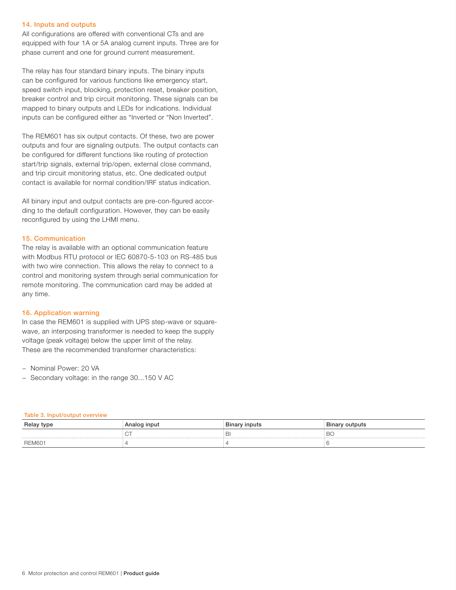#### <span id="page-5-0"></span>14. Inputs and outputs

All configurations are offered with conventional CTs and are equipped with four 1A or 5A analog current inputs. Three are for phase current and one for ground current measurement.

The relay has four standard binary inputs. The binary inputs can be configured for various functions like emergency start, speed switch input, blocking, protection reset, breaker position, breaker control and trip circuit monitoring. These signals can be mapped to binary outputs and LEDs for indications. Individual inputs can be configured either as "Inverted or "Non Inverted".

The REM601 has six output contacts. Of these, two are power outputs and four are signaling outputs. The output contacts can be configured for different functions like routing of protection start/trip signals, external trip/open, external close command, and trip circuit monitoring status, etc. One dedicated output contact is available for normal condition/IRF status indication.

All binary input and output contacts are pre-con-figured according to the default configuration. However, they can be easily reconfigured by using the LHMI menu.

# 15. Communication

The relay is available with an optional communication feature with Modbus RTU protocol or IEC 60870-5-103 on RS-485 bus with two wire connection. This allows the relay to connect to a control and monitoring system through serial communication for remote monitoring. The communication card may be added at any time.

# 16. Application warning

In case the REM601 is supplied with UPS step-wave or squarewave, an interposing transformer is needed to keep the supply voltage (peak voltage) below the upper limit of the relay. These are the recommended transformer characteristics:

- − Nominal Power: 20 VA
- − Secondary voltage: in the range 30...150 V AC

Table 3. Input/output overview

| Relay type    | Analog input | Binary inputs | Binary outputs |
|---------------|--------------|---------------|----------------|
|               |              | ▭             | ◡              |
| <b>REM601</b> |              |               |                |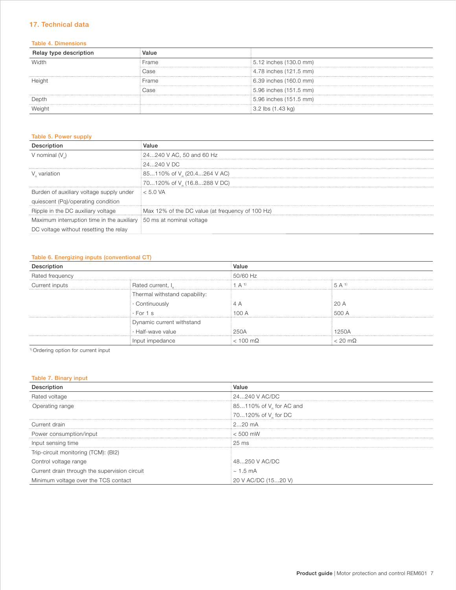# <span id="page-6-0"></span>17. Technical data

#### Table 4. Dimensions

| <b>Helay type description</b> | Value |                                      |
|-------------------------------|-------|--------------------------------------|
| Width                         | Frame | 5.12 inches (130.0 mm)               |
|                               | Case  | $(4.78$ inches $(121.5$ mm)          |
| Height                        | Frame | $6.39$ inches $(160.0$ mm)           |
|                               | Case  | $\frac{1}{2}$ 5.96 inches (151.5 mm) |
| Depth                         |       | 5.96 inches (151.5 mm)               |
| Neiaht                        |       | $3.2$ lbs $(1.43 \text{ kg})$        |

# Table 5. Power supply

|                                                                      | Value                                            |
|----------------------------------------------------------------------|--------------------------------------------------|
| V nominal (V)                                                        | 24240 V AC, 50 and 60 Hz                         |
|                                                                      | $124240$ V DC                                    |
| V variation                                                          | 85110% of V (20.4264 V AC)                       |
|                                                                      | 70120% of V (16.8288 V DC)                       |
| Burden of auxiliary voltage supply under                             | $= 5.0 V A$                                      |
| quiescent (Pq)/operating condition                                   |                                                  |
| Ripple in the DC auxiliary voltage                                   | Max 12% of the DC value (at frequency of 100 Hz) |
| Maximum interruption time in the auxiliary 150 ms at nominal voltage |                                                  |
| DC voltage without resetting the relay                               |                                                  |

#### Table 6. Energizing inputs (conventional CT)

| ption           |                               | Value              |                         |
|-----------------|-------------------------------|--------------------|-------------------------|
| Rated frequency |                               | 50/60 Hz           |                         |
| Current inputs  | : Rated current, I            | $A^{1}$            | $: 5 \Delta 1$          |
|                 | Thermal withstand capability: |                    |                         |
|                 |                               |                    |                         |
|                 | · Continuously<br>⊟ · For 1 s |                    | 500 A                   |
|                 | Dynamic current withstand     |                    |                         |
|                 | · Half-wave value             | 250A               | 1250A                   |
|                 | Input impedance               | $< 100$ m $\Omega$ | $\approx$ 20 m $\Omega$ |

1) Ordering option for current input

# Table 7. Binary input

| Descriptior                                   | Value                                             |
|-----------------------------------------------|---------------------------------------------------|
| Rated voltage                                 | $124240$ V AC/DC                                  |
| Operating range                               | $\frac{1}{2}$ 85110% of V <sub>n</sub> for AC and |
|                                               | 70120% of V for DC                                |
| Current drain                                 | $\frac{1}{2}$ 20 mA                               |
| Power consumption/input                       | $< 500$ mW                                        |
| Input sensing time                            | $\frac{1}{25}$ ms                                 |
| Trip-circuit monitoring (TCM): (BI2)          |                                                   |
| Control voltage range                         | 48250 V AC/DC                                     |
| Current drain through the supervision circuit | $~1.5 \text{ mA}$                                 |
| Minimum voltage over the TCS contact          | 20 V AC/DC (1520 V)                               |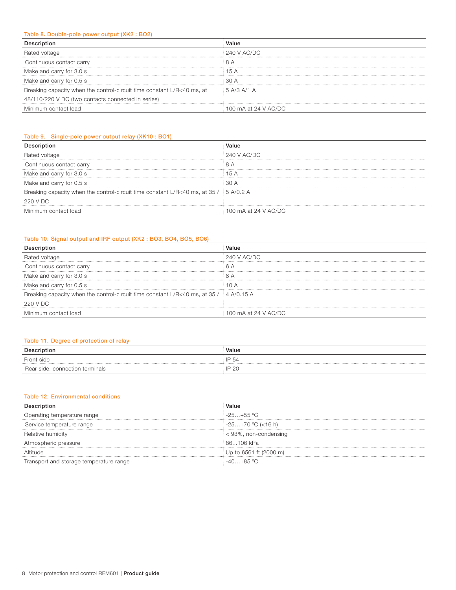# Table 8. Double-pole power output (XK2 : BO2)

| Rated voltage                                                          | $240$ V AC/DC        |
|------------------------------------------------------------------------|----------------------|
| Continuous contact carry                                               |                      |
| Make and carry for 3.0 s                                               | 1.5 $\Delta$         |
| Make and carry for 0.5 s                                               | 30A                  |
| Breaking capacity when the control-circuit time constant L/R<40 ms, at | $\pm$ 5 A/3 A/1 A    |
| 48/110/220 V DC (two contacts connected in series)                     |                      |
| Minimum contact load                                                   | 100 mA at 24 V AC/DC |

# Table 9. Single-pole power output relay (XK10 : BO1)

| Rated voltage                                                                           | $\pm 240$ V AC/DC    |
|-----------------------------------------------------------------------------------------|----------------------|
| Continuous contact carry                                                                |                      |
| Make and carry for 3.0 s                                                                | 15A                  |
| Make and carry for 0.5 s                                                                | ∶30 A                |
| Breaking capacity when the control-circuit time constant L/R<40 ms, at 35 / § 5 A/0.2 A |                      |
| 220 V DC                                                                                |                      |
| Minimum contact load                                                                    | 100 mA at 24 V AC/DC |

# Table 10. Signal output and IRF output (XK2 : BO3, BO4, BO5, BO6)

|                                                                                         | Value                |
|-----------------------------------------------------------------------------------------|----------------------|
| <b>Hated voltage</b>                                                                    | : 240 V AC/DC        |
| Continuous contact carry                                                                |                      |
| Make and carry for 3.0 s                                                                |                      |
| Make and carry for 0.5 s                                                                | ΛΑ                   |
| Breaking capacity when the control-circuit time constant L/R<40 ms, at 35 / [4 A/0.15 A |                      |
| 220 V DC                                                                                |                      |
| Minimum contact load                                                                    | 100 mA at 24 V AC/DC |

# Table 11. Degree of protection of relay

| Description                     | Value        |
|---------------------------------|--------------|
| Front side                      | <b>IP 54</b> |
| Rear side, connection terminals | P or<br>ຼ∟   |

# Table 12. Environmental conditions

| Operating temperature range             | $-25+55$ °C            |
|-----------------------------------------|------------------------|
| Service temperature range               | $-25+70$ °C (<16 h)    |
| Relative humidity                       | < 93%, non-condensing  |
| Atmospheric pressure                    | 86106 kPa              |
| Altitude                                | Up to 6561 ft (2000 m) |
| Transport and storage temperature range | $40 + 85$ °C           |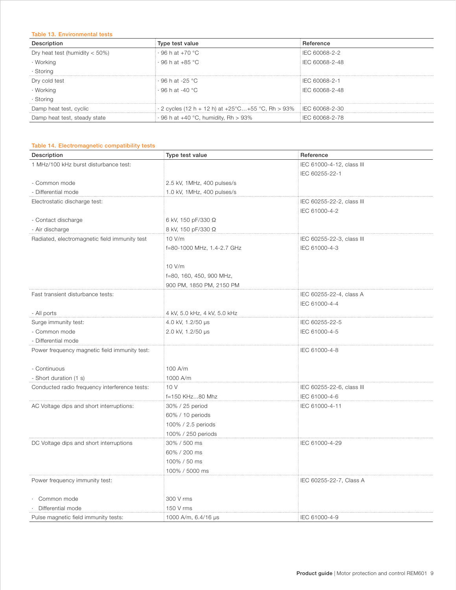# Table 13. Environmental tests

| Description                      | Type test value                                                          | Reference            |
|----------------------------------|--------------------------------------------------------------------------|----------------------|
| Dry heat test (humidity $<$ 50%) | $\cdot$ 96 h at +70 °C                                                   | <b>IEC 60068-2-2</b> |
| · Working                        | $\cdot$ 96 h at +85 °C                                                   | LEC 60068-2-48       |
| · Storing                        |                                                                          |                      |
| Dry cold test                    | ∶96 h at -25 °C                                                          | IEC 60068-2-1        |
| · Working                        | i ⋅ 96 h at -40 °C                                                       | $ECC$ 60068-2-48     |
| · Storing                        |                                                                          |                      |
| Damp heat test, cyclic           | $\cdot$ 2 cycles (12 h + 12 h) at +25°C+55 °C, Rh > 93% i IEC 60068-2-30 |                      |
| Damp heat test, steady state     | $\cdot$ 96 h at +40 °C, humidity, Rh > 93%                               | IEC 60068-2-78       |

# Table 14. Electromagnetic compatibility tests

| Description                                   | Type test value              | Reference                 |
|-----------------------------------------------|------------------------------|---------------------------|
| 1 MHz/100 kHz burst disturbance test:         |                              | IEC 61000-4-12, class III |
|                                               |                              | IEC 60255-22-1            |
| - Common mode                                 | 2.5 kV, 1MHz, 400 pulses/s   |                           |
| - Differential mode                           | 1.0 kV, 1MHz, 400 pulses/s   |                           |
| Electrostatic discharge test:                 |                              | IEC 60255-22-2, class III |
|                                               |                              | IEC 61000-4-2             |
| - Contact discharge                           | 6 kV, 150 pF/330 Ω           |                           |
| - Air discharge                               | 8 kV, 150 pF/330 Ω           |                           |
| Radiated, electromagnetic field immunity test | 10 V/m                       | IEC 60255-22-3, class III |
|                                               | f=80-1000 MHz, 1.4-2.7 GHz   | IEC 61000-4-3             |
|                                               |                              |                           |
|                                               | 10 V/m                       |                           |
|                                               | f=80, 160, 450, 900 MHz,     |                           |
|                                               | 900 PM, 1850 PM, 2150 PM     |                           |
| Fast transient disturbance tests:             |                              | IEC 60255-22-4, class A   |
|                                               |                              | IEC 61000-4-4             |
| - All ports                                   | 4 kV, 5.0 kHz, 4 kV, 5.0 kHz |                           |
| Surge immunity test:                          | 4.0 kV, 1.2/50 µs            | IEC 60255-22-5            |
| - Common mode                                 | 2.0 kV, 1.2/50 µs            | IEC 61000-4-5             |
| - Differential mode                           |                              |                           |
| Power frequency magnetic field immunity test: |                              | IEC 61000-4-8             |
|                                               |                              |                           |
| - Continuous                                  | 100 A/m                      |                           |
| - Short duration (1 s)                        | 1000 A/m                     |                           |
| Conducted radio frequency interference tests: | 10 V                         | IEC 60255-22-6, class III |
|                                               | f=150 KHz80 Mhz              | IEC 61000-4-6             |
| AC Voltage dips and short interruptions:      | 30% / 25 period              | IEC 61000-4-11            |
|                                               | 60% / 10 periods             |                           |
|                                               | 100% / 2.5 periods           |                           |
|                                               | 100% / 250 periods           |                           |
| DC Voltage dips and short interruptions       | 30% / 500 ms                 | IEC 61000-4-29            |
|                                               | 60% / 200 ms                 |                           |
|                                               | 100% / 50 ms                 |                           |
|                                               | 100% / 5000 ms               |                           |
| Power frequency immunity test:                |                              | IEC 60255-22-7, Class A   |
|                                               |                              |                           |
| Common mode                                   | 300 V rms                    |                           |
| Differential mode                             | 150 V rms                    |                           |
| Pulse magnetic field immunity tests:          | 1000 A/m, $6.4/16 \,\mu s$   | IEC 61000-4-9             |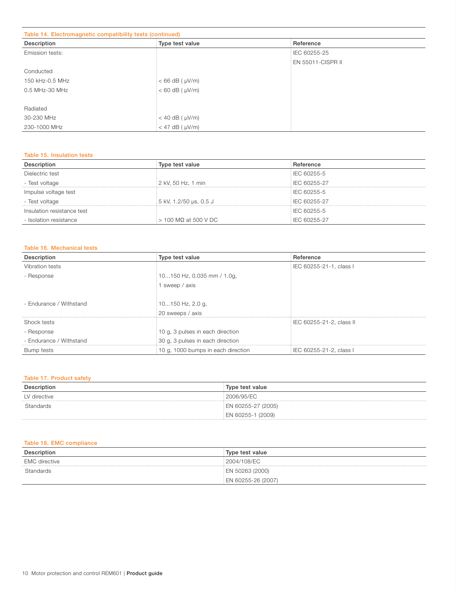# Table 14. Electromagnetic compatibility tests (continued)

| Table 14. Electromagnetic companionty tests (continued) |                              |                          |  |
|---------------------------------------------------------|------------------------------|--------------------------|--|
| Description                                             | Type test value              | Reference                |  |
| Emission tests:                                         |                              | IEC 60255-25             |  |
|                                                         |                              | <b>EN 55011-CISPR II</b> |  |
| Conducted                                               |                              |                          |  |
| 150 kHz-0.5 MHz                                         | $<$ 66 dB ( $\mu$ V/m)       |                          |  |
| 0.5 MHz-30 MHz                                          | $< 60$ dB ( $\mu$ V/m)       |                          |  |
|                                                         |                              |                          |  |
| Radiated                                                |                              |                          |  |
| 30-230 MHz                                              | $<$ 40 dB ( $\mu$ V/m)       |                          |  |
| 230-1000 MHz                                            | $\approx 47$ dB ( $\mu$ V/m) |                          |  |

#### Table 15. Insulation tests

| Description                | Type test value                | Reference           |
|----------------------------|--------------------------------|---------------------|
| Dielectric test            |                                | <b>IEC 60255-5</b>  |
| - Test voltage             | $\frac{1}{2}$ kV, 50 Hz, 1 min | IEC 60255-27        |
| Impulse voltage test       |                                | <b>IEC 60255-5</b>  |
| - Test voltage             | i 5 kV, 1.2/50 µs, 0.5 J       | <b>IEC 60255-27</b> |
| Insulation resistance test |                                | <b>IEC 60255-5</b>  |
| - Isolation resistance     | $>$ 100 MΩ at 500 V DC         | IEC 60255-27        |

#### Table 16. Mechanical tests

| Description             | Type test value                    | Reference                       |
|-------------------------|------------------------------------|---------------------------------|
| Vibration tests         |                                    | EC 60255-21-1, class I          |
| - Response              | 10150 Hz, 0.035 mm / 1.0g,         |                                 |
|                         | sweep / axis                       |                                 |
|                         |                                    |                                 |
| - Endurance / Withstand | i 10150 Hz, 2.0 g,                 |                                 |
|                         | 20 sweeps / axis                   |                                 |
| Shock tests             |                                    | <b>IEC 60255-21-2, class II</b> |
| - Response              | 10 g, 3 pulses in each direction   |                                 |
| - Endurance / Withstand | 30 g, 3 pulses in each direction   |                                 |
| Bump tests              | 10 g, 1000 bumps in each direction | i IEC 60255-21-2, class I       |

# Table 17. Product safety

|              | Type test value      |
|--------------|----------------------|
| LV directive | 2006/95/EC           |
| Standards    | EN 60255-27 (2005)   |
|              | (2009)<br>EN 60255-1 |

# Table 18. EMC compliance

|                      | Type test value    |
|----------------------|--------------------|
| <b>EMC</b> directive | 2004/108/EC        |
| Standards            | EN 50263 (2000)    |
|                      | EN 60255-26 (2007) |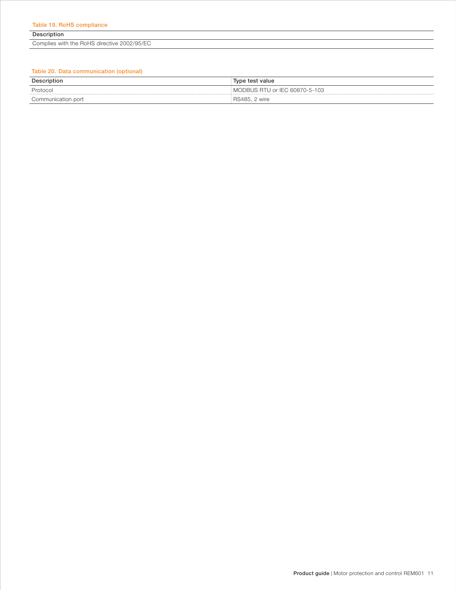Description

Complies with the RoHS directive 2002/95/EC

# Table 20. Data communication (optional)

| Description        | Type test value               |
|--------------------|-------------------------------|
| Protocol           | MODBUS RTU or IEC 60870-5-103 |
| Communication port | RS485. 2 wire                 |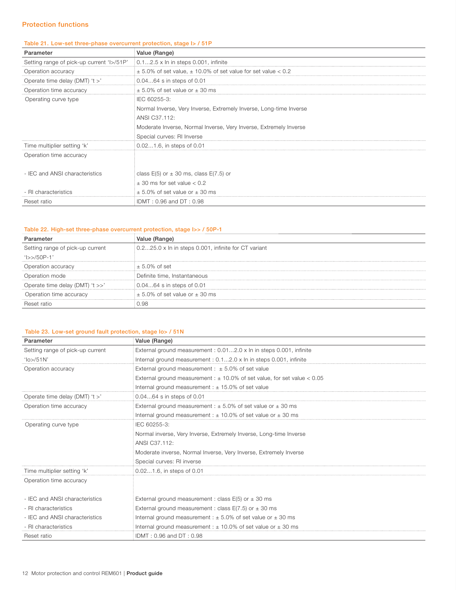# Protection functions

#### Table 21. Low-set three-phase overcurrent protection, stage I> / 51P

| Parameter                                 | Value (Range)                                                         |
|-------------------------------------------|-----------------------------------------------------------------------|
| Setting range of pick-up current 'I>/51P' | $0.12.5 \times \ln$ in steps 0.001, infinite                          |
| Operation accuracy                        | $\pm$ 5.0% of set value, $\pm$ 10.0% of set value for set value < 0.2 |
| Operate time delay (DMT) 't >'            | 0.0464 s in steps of 0.01                                             |
| Operation time accuracy                   | $\pm$ 5.0% of set value or $\pm$ 30 ms                                |
| Operating curve type                      | IEC 60255-3:                                                          |
|                                           | Normal Inverse, Very Inverse, Extremely Inverse, Long-time Inverse    |
|                                           | ANSI C37.112:                                                         |
|                                           | Moderate Inverse, Normal Inverse, Very Inverse, Extremely Inverse     |
|                                           | Special curves: RI Inverse                                            |
| Time multiplier setting 'k'               | 0.021.6, in steps of 0.01                                             |
| Operation time accuracy                   |                                                                       |
|                                           |                                                                       |
| - IEC and ANSI characteristics            | class $E(5)$ or $\pm$ 30 ms, class $E(7.5)$ or                        |
|                                           | $\pm$ 30 ms for set value $< 0.2$                                     |
| - RI characteristics                      | $\pm$ 5.0% of set value or $\pm$ 30 ms                                |
| Reset ratio                               | IDMT: 0.96 and DT: 0.98                                               |

# Table 22. High-set three-phase overcurrent protection, stage I>> / 50P-1

| Parameter                        | Value (Range)                                                           |
|----------------------------------|-------------------------------------------------------------------------|
| Setting range of pick-up current | $0.225.0 \times \ln \ln \text{ steps } 0.001$ , infinite for CT variant |
| $' >>/50P-1'$                    |                                                                         |
| Operation accuracy               | $\pm$ 5.0% of set                                                       |
| Operation mode                   | Definite time, Instantaneous                                            |
| Operate time delay (DMT) 't >>'  | 0.0464 s in steps of 0.01                                               |
| Operation time accuracy          | $\pm$ 5.0% of set value or $\pm$ 30 ms                                  |
| Reset ratio                      | 0.98                                                                    |

# Table 23. Low-set ground fault protection, stage Io> / 51N

| Parameter                        | Value (Range)                                                                |
|----------------------------------|------------------------------------------------------------------------------|
| Setting range of pick-up current | External ground measurement : 0.012.0 x In in steps 0.001, infinite          |
| $10$ >/51N'                      | Internal ground measurement : 0.12.0 x In in steps 0.001, infinite           |
| Operation accuracy               | External ground measurement : $\pm$ 5.0% of set value                        |
|                                  | External ground measurement : $\pm$ 10.0% of set value, for set value < 0.05 |
|                                  | Internal ground measurement : $\pm$ 15.0% of set value                       |
| Operate time delay (DMT) 't >'   | 0.0464 s in steps of 0.01                                                    |
| Operation time accuracy          | External ground measurement : $\pm$ 5.0% of set value or $\pm$ 30 ms         |
|                                  | Internal ground measurement : $\pm$ 10.0% of set value or $\pm$ 30 ms        |
| Operating curve type             | IEC 60255-3:                                                                 |
|                                  | Normal inverse, Very Inverse, Extremely Inverse, Long-time Inverse           |
|                                  | ANSI C37.112:                                                                |
|                                  | Moderate inverse, Normal Inverse, Very Inverse, Extremely Inverse            |
|                                  | Special curves: RI inverse                                                   |
| Time multiplier setting 'k'      | 0.021.6, in steps of 0.01                                                    |
| Operation time accuracy          |                                                                              |
|                                  |                                                                              |
| - IEC and ANSI characteristics   | External ground measurement : class $E(5)$ or $\pm$ 30 ms                    |
| - RI characteristics             | External ground measurement : class $E(7.5)$ or $\pm$ 30 ms                  |
| - IEC and ANSI characteristics   | Internal ground measurement : $\pm$ 5.0% of set value or $\pm$ 30 ms         |
| - RI characteristics             | Internal ground measurement: $\pm$ 10.0% of set value or $\pm$ 30 ms         |
| Reset ratio                      | IDMT: 0.96 and DT: 0.98                                                      |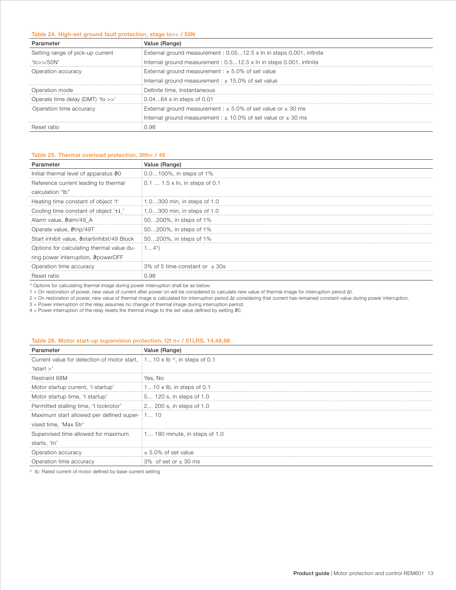#### Table 24. High-set ground fault protection, stage Io>> / 50N

| Parameter                        | Value (Range)                                                         |
|----------------------------------|-----------------------------------------------------------------------|
| Setting range of pick-up current | External ground measurement : 0.0512.5 x In in steps 0.001, infinite  |
| 10 >> 50N'                       | Internal ground measurement : 0.512.5 x ln in steps 0.001, infinite   |
| Operation accuracy               | External ground measurement : $\pm$ 5.0% of set value                 |
|                                  | Internal ground measurement : $\pm$ 15.0% of set value                |
| Operation mode                   | Definite time, Instantaneous                                          |
| Operate time delay (DMT) 'to >>' | 0.0464 s in steps of 0.01                                             |
| Operation time accuracy          | External ground measurement : $\pm$ 5.0% of set value or $\pm$ 30 ms  |
|                                  | Internal ground measurement : $\pm$ 10.0% of set value or $\pm$ 30 ms |
| <b>Heset ratio</b>               | ) 98                                                                  |

#### Table 25. Thermal overload protection, 3Ith> / 49

| Parameter                                          | Value (Range)                      |
|----------------------------------------------------|------------------------------------|
| Initial thermal level of apparatus 90              | 0.0100%, in steps of 1%            |
| Reference current leading to thermal               | 0.1  1.5 x ln, in steps of 0.1     |
| calculation "lb"                                   |                                    |
| Heating time constant of object 't'                | 1.0300 min, in steps of 1.0        |
| Cooling time constant of object ' $\tau\downarrow$ | 1.0300 min, in steps of 1.0        |
| Alarm value, $\theta$ alm/49 A                     | : 50200%, in steps of 1%           |
| Operate value, <i>Strip</i> /49T                   | 50200%, in steps of 1%             |
| Start inhibit value, Startinhibit/49 Block         | : 50200%, in steps of 1%           |
| Options for calculating thermal value du-          | $14^{1}$                           |
| ring power interruption, <b>&amp;powerOFF</b>      |                                    |
| Operation time accuracy                            | 3% of 5 time constant or $\pm$ 30s |
| Beset ratio                                        | 0.98                               |

 $1)$  Options for calculating thermal image during power interruption shall be as below:

1 = On restoration of power, new value of current after power on will be considered to calculate new value of thermal image for interruption period Δt.

2 = On restoration of power, new value of thermal image is calculated for interruption period Δt considering that current has remained constant value during power interruption.

3 = Power interruption of the relay assumes no change of thermal image during interruption period.

 $4$  = Power interruption of the relay resets the thermal image to the set value defined by setting  $90$ .

#### Table 26. Motor start-up supervision protection, I2t n< / 51LRS, 14,48,66

| Parameter                                                                                          | Value (Range)                        |
|----------------------------------------------------------------------------------------------------|--------------------------------------|
| Current value for detection of motor start, $\frac{1}{2}$ 1 10 x lb <sup>1</sup> , in steps of 0.1 |                                      |
| ' $\text{Istart} >$ '                                                                              |                                      |
| Restraint 68M                                                                                      | : Yes. No                            |
| Motor startup current, 'I startup'                                                                 | $\pm 110 \times$ lb, in steps of 0.1 |
| Motor startup time, 't startup'                                                                    | 15 120 s, in steps of 1.0            |
| Permitted stalling time, 't lockrotor'                                                             | $\pm 2$ 200 s, in steps of 1.0       |
| Maximum start allowed per defined super- i 1 10                                                    |                                      |
| vised time, 'Max Str'                                                                              |                                      |
| Supervised time allowed for maximum                                                                | $1$ 180 minute, in steps of 1.0      |
| starts, 'tn'                                                                                       |                                      |
| Operation accuracy                                                                                 | $\pm$ 5.0% of set value              |
| Operation time accuracy                                                                            | $3\%$ of set or $\pm$ 30 ms          |

<sup>1)</sup> Ib: Rated current of motor defined by base current setting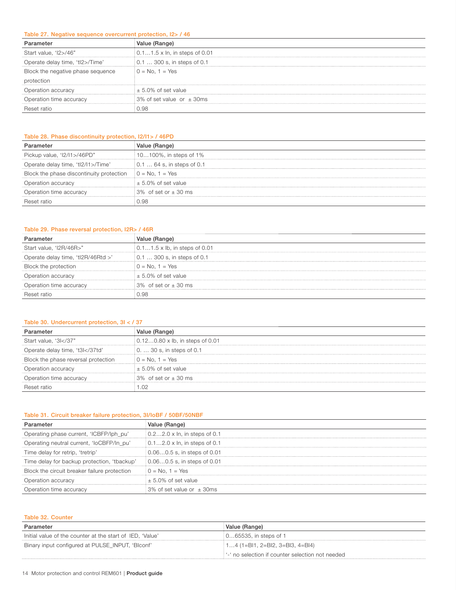#### Table 27. Negative sequence overcurrent protection, I2> / 46

| Parameter                         | Value (Range)                             |
|-----------------------------------|-------------------------------------------|
| Start value, 'I2>/46"             | $0.11.5 \times \ln$ , in steps of 0.01    |
| Operate delay time, 'tl2>/Time'   | $\frac{1}{2}$ 0.1  300 s, in steps of 0.1 |
| Block the negative phase sequence | $0 = No, 1 = Yes$                         |
| protection                        |                                           |
| Operation accuracy                | $\pm$ 5.0% of set value                   |
| Operation time accuracy           | : 3% of set value or $\pm$ 30ms           |
| Reset ratio                       | 0.98                                      |

# Table 28. Phase discontinuity protection, I2/I1> / 46PD

| Parameter                                                               | /alue (Range)                          |
|-------------------------------------------------------------------------|----------------------------------------|
| Pickup value, 'I2/I1>/46PD"                                             | 10100%, in steps of 1%                 |
| Operate delay time, 'tl2/I1>/Time'                                      | $0.164$ s, in steps of 0.1             |
| Block the phase discontinuity protection $\theta = \text{No}$ , 1 = Yes |                                        |
| Operation accuracy                                                      | $\pm$ 5.0% of set value                |
| Operation time accuracy                                                 | $\frac{1}{2}3\%$ of set or $\pm$ 30 ms |
| Reset ratio                                                             | 98 ر                                   |

# Table 29. Phase reversal protection, I2R> / 46R

| ameter:                            | Value (Range)                               |
|------------------------------------|---------------------------------------------|
| Start value, 'I2R/46R>"            | $\frac{1}{2}$ 0.11.5 x lb, in steps of 0.01 |
| Operate delay time, 'tl2R/46Rtd >' | 0.1  300 s, in steps of 0.1                 |
| Block the protection               | $0 = No. 1 = Yes$                           |
| Operation accuracy                 | $\pm$ 5.0% of set value                     |
| Operation time accuracy            | $\frac{1}{2}3\%$ of set or $\pm$ 30 ms      |
| Reset ratio                        | 0.98                                        |

#### Table 30. Undercurrent protection, 3I < / 37

|                                                                                      | <i>l</i> alue (Range)                  |
|--------------------------------------------------------------------------------------|----------------------------------------|
| Start value, '3l 37"</td <td>0.120.80 x lb, in steps of 0.01</td>                    | 0.120.80 x lb, in steps of 0.01        |
| Operate delay time, 't3l 37td'</td <td><math>: 0.</math>  30 s, in steps of 0.1</td> | $: 0.$ 30 s, in steps of 0.1           |
| Block the phase reversal protection                                                  | $0 = No, 1 = Yes$                      |
| Operation accuracy                                                                   | $\pm$ 5.0% of set value                |
| Operation time accuracy                                                              | $\frac{1}{2}3\%$ of set or $\pm$ 30 ms |
| Reset ratio                                                                          | .02                                    |

#### Table 31. Circuit breaker failure protection, 3I/IoBF / 50BF/50NBF

| Parameter                                    | Value (Range)                              |
|----------------------------------------------|--------------------------------------------|
| Operating phase current, 'ICBFP/lph_pu'      | $\frac{1}{2}$ 0.22.0 x ln, in steps of 0.1 |
| Operating neutral current, 'loCBFP/ln_pu'    | $0.12.0 \times \ln$ , in steps of 0.1      |
| Time delay for retrip, 'tretrip'             | $0.060.5$ s, in steps of 0.01              |
| Time delay for backup protection, 'tbackup'  | 0.060.5 s, in steps of 0.01                |
| Block the circuit breaker failure protection | $0 = No, 1 = Yes$                          |
| Operation accuracy                           | $\pm$ 5.0% of set value                    |
| Operation time accuracy                      | 3% of set value or $\pm$ 30ms              |

| Table 32. Counter                                         |                                                    |  |  |  |  |
|-----------------------------------------------------------|----------------------------------------------------|--|--|--|--|
| Parameter                                                 | Value (Range)                                      |  |  |  |  |
| Initial value of the counter at the start of IED, 'Value' | 065535, in steps of 1                              |  |  |  |  |
| Binary input configured at PULSE INPUT, 'Blconf'          | $\pm$ 14 (1=BI1, 2=BI2, 3=BI3, 4=BI4)              |  |  |  |  |
|                                                           | : '-' no selection if counter selection not needed |  |  |  |  |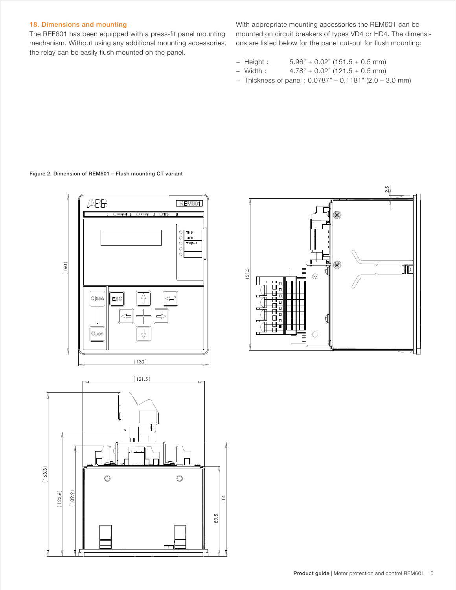# <span id="page-14-0"></span>18. Dimensions and mounting

The REF601 has been equipped with a press-fit panel mounting mechanism. Without using any additional mounting accessories, the relay can be easily flush mounted on the panel.

With appropriate mounting accessories the REM601 can be mounted on circuit breakers of types VD4 or HD4. The dimensions are listed below for the panel cut-out for flush mounting:

- − Height : 5.96" ± 0.02" (151.5 ± 0.5 mm)
- − Width : 4.78" ± 0.02" (121.5 ± 0.5 mm)
- − Thickness of panel : 0.0787" 0.1181" (2.0 3.0 mm)

Figure 2. Dimension of REM601 – Flush mounting CT variant



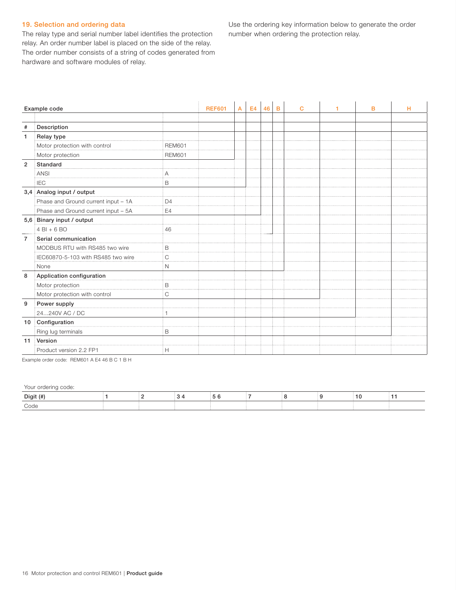# <span id="page-15-0"></span>19. Selection and ordering data

The relay type and serial number label identifies the protection relay. An order number label is placed on the side of the relay. The order number consists of a string of codes generated from hardware and software modules of relay.

Use the ordering key information below to generate the order number when ordering the protection relay.

|                | Example code                        |                | <b>REF601</b> | А | E <sub>4</sub> | 46 | B | $\mathbf C$ | 1 | B | н |
|----------------|-------------------------------------|----------------|---------------|---|----------------|----|---|-------------|---|---|---|
|                |                                     |                |               |   |                |    |   |             |   |   |   |
| #              | Description                         |                |               |   |                |    |   |             |   |   |   |
| 1              | Relay type                          |                |               |   |                |    |   |             |   |   |   |
|                | Motor protection with control       | <b>REM601</b>  |               |   |                |    |   |             |   |   |   |
|                | Motor protection                    | <b>REM601</b>  |               |   |                |    |   |             |   |   |   |
| $\overline{2}$ | Standard                            |                |               |   |                |    |   |             |   |   |   |
|                | <b>ANSI</b>                         |                |               |   |                |    |   |             |   |   |   |
|                | <b>IEC</b>                          | B              |               |   |                |    |   |             |   |   |   |
|                | 3,4 Analog input / output           |                |               |   |                |    |   |             |   |   |   |
|                | Phase and Ground current input - 1A | D <sub>4</sub> |               |   |                |    |   |             |   |   |   |
|                | Phase and Ground current input - 5A | E4             |               |   |                |    |   |             |   |   |   |
|                | 5,6 Binary input / output           |                |               |   |                |    |   |             |   |   |   |
|                | $4$ BI + 6 BO                       | 46             |               |   |                |    |   |             |   |   |   |
| $\overline{7}$ | Serial communication                |                |               |   |                |    |   |             |   |   |   |
|                | MODBUS RTU with RS485 two wire      | B              |               |   |                |    |   |             |   |   |   |
|                | IEC60870-5-103 with RS485 two wire  | C              |               |   |                |    |   |             |   |   |   |
|                | None                                | N              |               |   |                |    |   |             |   |   |   |
| 8              | Application configuration           |                |               |   |                |    |   |             |   |   |   |
|                | Motor protection                    | B              |               |   |                |    |   |             |   |   |   |
|                | Motor protection with control       | C              |               |   |                |    |   |             |   |   |   |
| 9              | Power supply                        |                |               |   |                |    |   |             |   |   |   |
|                | 24240V AC / DC                      |                |               |   |                |    |   |             |   |   |   |
| 10             | Configuration                       |                |               |   |                |    |   |             |   |   |   |
|                | Ring lug terminals                  | B              |               |   |                |    |   |             |   |   |   |
| 11             | Version                             |                |               |   |                |    |   |             |   |   |   |
|                | Product version 2.2 FP1             | Н              |               |   |                |    |   |             |   |   |   |

Example order code: REM601 A E4 46 B C 1 B H

Your ordering code:

| Digit (#) |  |  |  |  |  |
|-----------|--|--|--|--|--|
| Code      |  |  |  |  |  |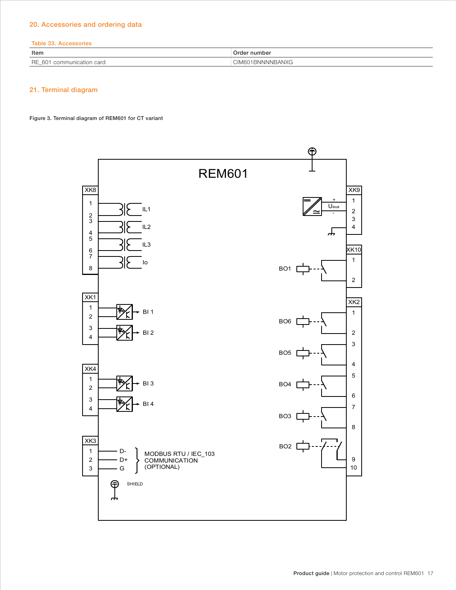# <span id="page-16-0"></span>20. Accessories and ordering data

#### Table 33. Accessories

| ltem                                                                                  | nedo-<br>number                 |
|---------------------------------------------------------------------------------------|---------------------------------|
| <b>RE</b><br>$\cap$ mm<br>card<br><b>ICATION</b><br>$-10o$<br>$\sim$<br><b>UUITII</b> | 01BNNNNBANXG<br>, ,,,<br>IVIU U |

# 21. Terminal diagram

Figure 3. Terminal diagram of REM601 for CT variant

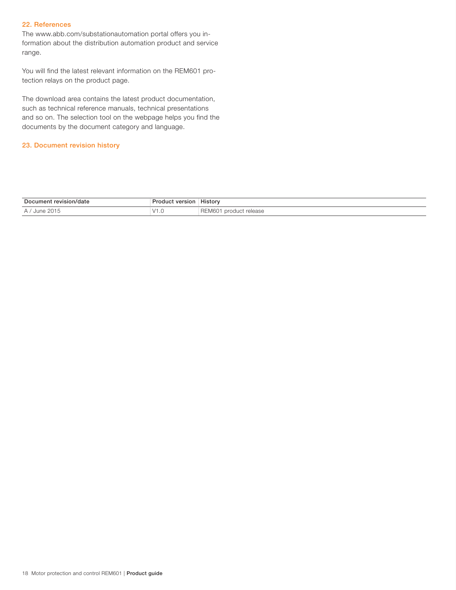# <span id="page-17-0"></span>22. References

The www.abb.com/substationautomation portal offers you information about the distribution automation product and service range.

You will find the latest relevant information on the REM601 protection relays on the product page.

The download area contains the latest product documentation, such as technical reference manuals, technical presentations and so on. The selection tool on the webpage helps you find the documents by the document category and language.

#### 23. Document revision history

| Document<br>revision/date<br>'ualt | version<br>متعا              | .<br>History                                          |
|------------------------------------|------------------------------|-------------------------------------------------------|
| June 2015<br>$\Delta$              | $\frac{1}{4}$<br>$v \cdot v$ | rologeo<br>u product<br>N/K<br><b>UIUASU</b><br>----- |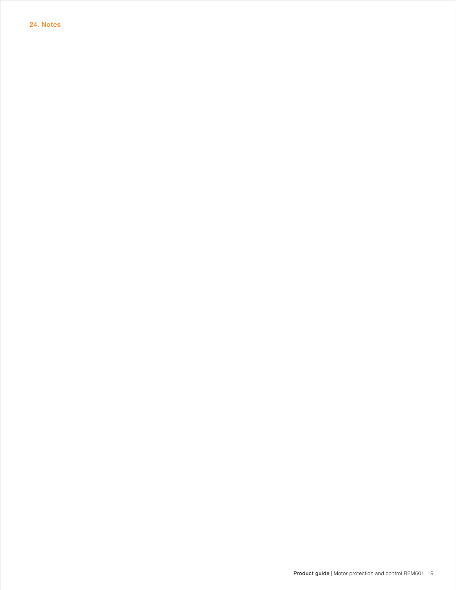<span id="page-18-0"></span>24. Notes